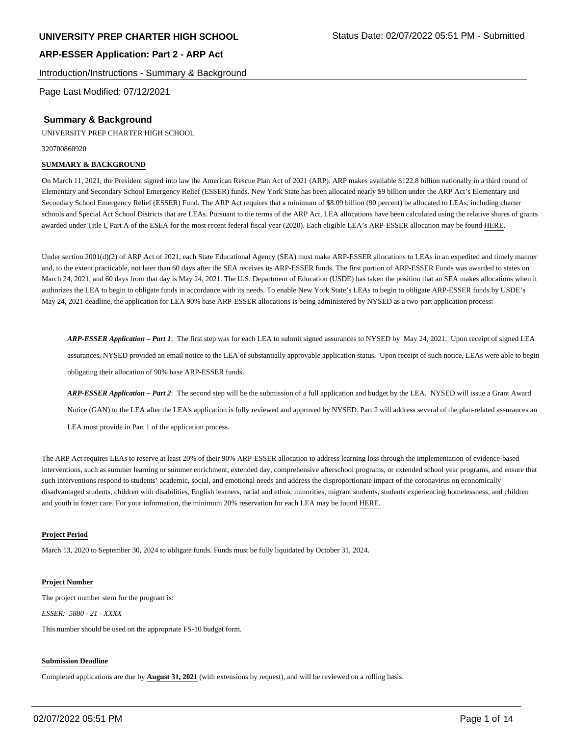#### Introduction/Instructions - Summary & Background

Page Last Modified: 07/12/2021

#### **Summary & Background**

UNIVERSITY PREP CHARTER HIGH SCHOOL

320700860920

#### **SUMMARY & BACKGROUND**

On March 11, 2021, the President signed into law the American Rescue Plan Act of 2021 (ARP). ARP makes available \$122.8 billion nationally in a third round of Elementary and Secondary School Emergency Relief (ESSER) funds. New York State has been allocated nearly \$9 billion under the ARP Act's Elementary and Secondary School Emergency Relief (ESSER) Fund. The ARP Act requires that a minimum of \$8.09 billion (90 percent) be allocated to LEAs, including charter schools and Special Act School Districts that are LEAs. Pursuant to the terms of the ARP Act, LEA allocations have been calculated using the relative shares of grants awarded under Title I, Part A of the ESEA for the most recent federal fiscal year (2020). Each eligible LEA's ARP-ESSER allocation may be found HERE.

Under section 2001(d)(2) of ARP Act of 2021, each State Educational Agency (SEA) must make ARP-ESSER allocations to LEAs in an expedited and timely manner and, to the extent practicable, not later than 60 days after the SEA receives its ARP-ESSER funds. The first portion of ARP-ESSER Funds was awarded to states on March 24, 2021, and 60 days from that day is May 24, 2021. The U.S. Department of Education (USDE) has taken the position that an SEA makes allocations when it authorizes the LEA to begin to obligate funds in accordance with its needs. To enable New York State's LEAs to begin to obligate ARP-ESSER funds by USDE's May 24, 2021 deadline, the application for LEA 90% base ARP-ESSER allocations is being administered by NYSED as a two-part application process:

*ARP-ESSER Application – Part 1*: The first step was for each LEA to submit signed assurances to NYSED by May 24, 2021. Upon receipt of signed LEA assurances, NYSED provided an email notice to the LEA of substantially approvable application status. Upon receipt of such notice, LEAs were able to begin obligating their allocation of 90% base ARP-ESSER funds.

*ARP-ESSER Application – Part 2*: The second step will be the submission of a full application and budget by the LEA. NYSED will issue a Grant Award Notice (GAN) to the LEA after the LEA's application is fully reviewed and approved by NYSED. Part 2 will address several of the plan-related assurances an LEA must provide in Part 1 of the application process.

The ARP Act requires LEAs to reserve at least 20% of their 90% ARP-ESSER allocation to address learning loss through the implementation of evidence-based interventions, such as summer learning or summer enrichment, extended day, comprehensive afterschool programs, or extended school year programs, and ensure that such interventions respond to students' academic, social, and emotional needs and address the disproportionate impact of the coronavirus on economically disadvantaged students, children with disabilities, English learners, racial and ethnic minorities, migrant students, students experiencing homelessness, and children and youth in foster care. For your information, the minimum 20% reservation for each LEA may be found HERE.

#### **Project Period**

March 13, 2020 to September 30, 2024 to obligate funds. Funds must be fully liquidated by October 31, 2024.

#### **Project Number**

The project number stem for the program is:

*ESSER: 5880 - 21 - XXXX*

This number should be used on the appropriate FS-10 budget form.

#### **Submission Deadline**

Completed applications are due by **August 31, 2021** (with extensions by request), and will be reviewed on a rolling basis.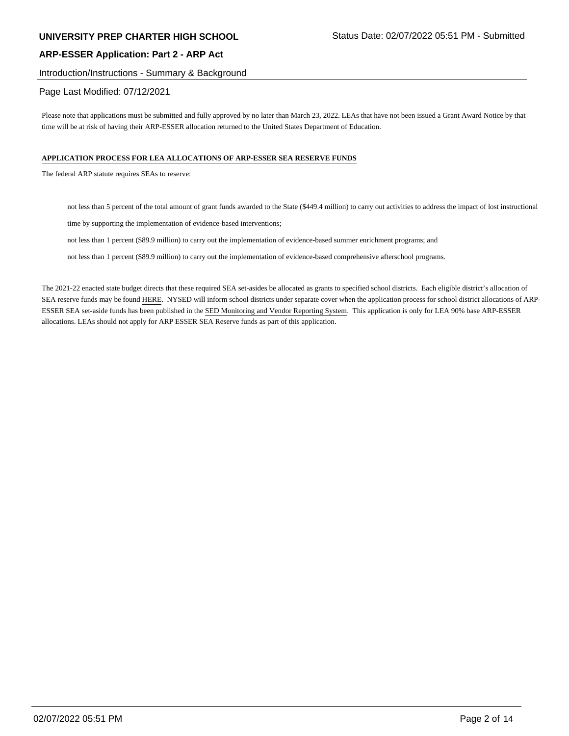#### Introduction/Instructions - Summary & Background

#### Page Last Modified: 07/12/2021

Please note that applications must be submitted and fully approved by no later than March 23, 2022. LEAs that have not been issued a Grant Award Notice by that time will be at risk of having their ARP-ESSER allocation returned to the United States Department of Education.

#### **APPLICATION PROCESS FOR LEA ALLOCATIONS OF ARP-ESSER SEA RESERVE FUNDS**

The federal ARP statute requires SEAs to reserve:

not less than 5 percent of the total amount of grant funds awarded to the State (\$449.4 million) to carry out activities to address the impact of lost instructional

time by supporting the implementation of evidence-based interventions;

not less than 1 percent (\$89.9 million) to carry out the implementation of evidence-based summer enrichment programs; and

not less than 1 percent (\$89.9 million) to carry out the implementation of evidence-based comprehensive afterschool programs.

The 2021-22 enacted state budget directs that these required SEA set-asides be allocated as grants to specified school districts. Each eligible district's allocation of SEA reserve funds may be found HERE. NYSED will inform school districts under separate cover when the application process for school district allocations of ARP-ESSER SEA set-aside funds has been published in the SED Monitoring and Vendor Reporting System. This application is only for LEA 90% base ARP-ESSER allocations. LEAs should not apply for ARP ESSER SEA Reserve funds as part of this application.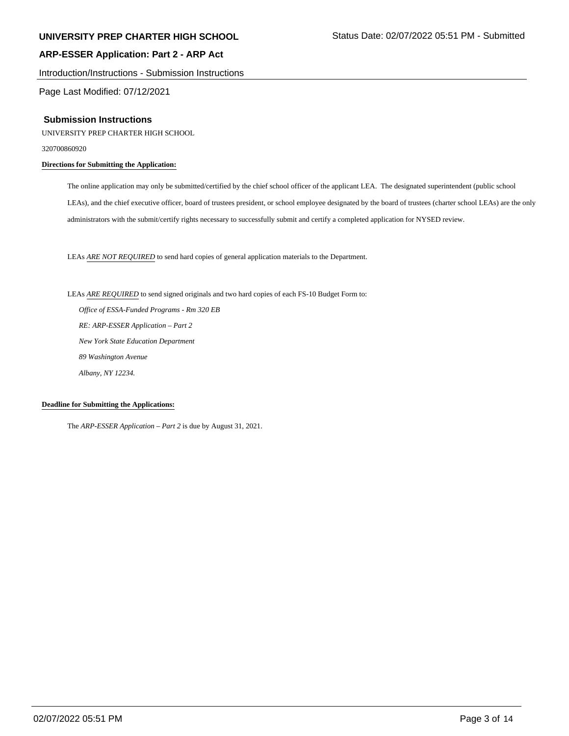Introduction/Instructions - Submission Instructions

Page Last Modified: 07/12/2021

#### **Submission Instructions**

UNIVERSITY PREP CHARTER HIGH SCHOOL

320700860920

#### **Directions for Submitting the Application:**

The online application may only be submitted/certified by the chief school officer of the applicant LEA. The designated superintendent (public school LEAs), and the chief executive officer, board of trustees president, or school employee designated by the board of trustees (charter school LEAs) are the only administrators with the submit/certify rights necessary to successfully submit and certify a completed application for NYSED review.

LEAs *ARE NOT REQUIRED* to send hard copies of general application materials to the Department.

LEAs *ARE REQUIRED* to send signed originals and two hard copies of each FS-10 Budget Form to:

 *Office of ESSA-Funded Programs - Rm 320 EB RE: ARP-ESSER Application – Part 2 New York State Education Department 89 Washington Avenue Albany, NY 12234.*

#### **Deadline for Submitting the Applications:**

The *ARP-ESSER Application – Part 2* is due by August 31, 2021.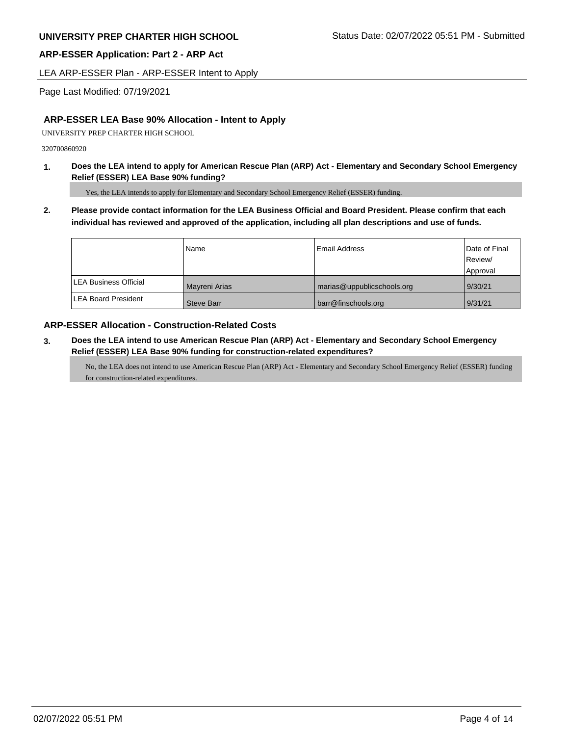LEA ARP-ESSER Plan - ARP-ESSER Intent to Apply

Page Last Modified: 07/19/2021

## **ARP-ESSER LEA Base 90% Allocation - Intent to Apply**

UNIVERSITY PREP CHARTER HIGH SCHOOL

320700860920

**1. Does the LEA intend to apply for American Rescue Plan (ARP) Act - Elementary and Secondary School Emergency Relief (ESSER) LEA Base 90% funding?**

Yes, the LEA intends to apply for Elementary and Secondary School Emergency Relief (ESSER) funding.

**2. Please provide contact information for the LEA Business Official and Board President. Please confirm that each individual has reviewed and approved of the application, including all plan descriptions and use of funds.** 

|                               | Name              | Email Address              | Date of Final<br>Review/ |
|-------------------------------|-------------------|----------------------------|--------------------------|
|                               |                   |                            | Approval                 |
| <b>ILEA Business Official</b> | Mayreni Arias     | marias@uppublicschools.org | 9/30/21                  |
| <b>LEA Board President</b>    | <b>Steve Barr</b> | barr@finschools.org        | 9/31/21                  |

## **ARP-ESSER Allocation - Construction-Related Costs**

**3. Does the LEA intend to use American Rescue Plan (ARP) Act - Elementary and Secondary School Emergency Relief (ESSER) LEA Base 90% funding for construction-related expenditures?**

No, the LEA does not intend to use American Rescue Plan (ARP) Act - Elementary and Secondary School Emergency Relief (ESSER) funding for construction-related expenditures.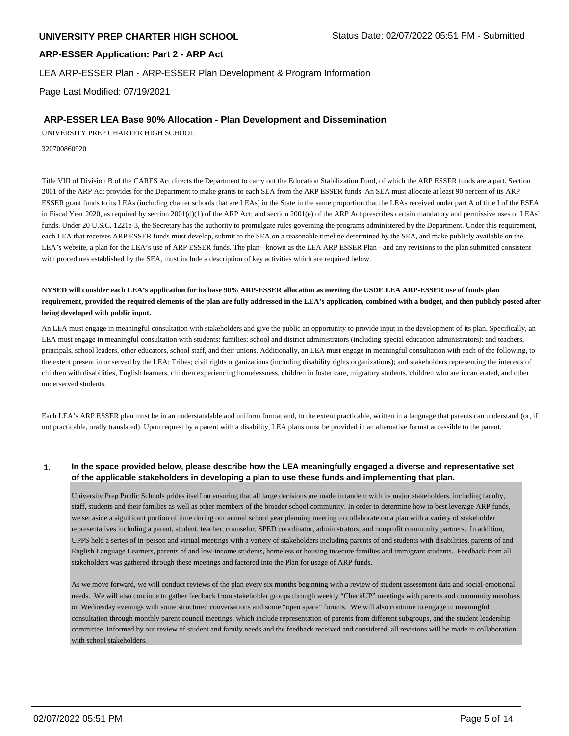### **ARP-ESSER Application: Part 2 - ARP Act**

#### LEA ARP-ESSER Plan - ARP-ESSER Plan Development & Program Information

Page Last Modified: 07/19/2021

#### **ARP-ESSER LEA Base 90% Allocation - Plan Development and Dissemination**

UNIVERSITY PREP CHARTER HIGH SCHOOL

320700860920

Title VIII of Division B of the CARES Act directs the Department to carry out the Education Stabilization Fund, of which the ARP ESSER funds are a part. Section 2001 of the ARP Act provides for the Department to make grants to each SEA from the ARP ESSER funds. An SEA must allocate at least 90 percent of its ARP ESSER grant funds to its LEAs (including charter schools that are LEAs) in the State in the same proportion that the LEAs received under part A of title I of the ESEA in Fiscal Year 2020, as required by section 2001(d)(1) of the ARP Act; and section 2001(e) of the ARP Act prescribes certain mandatory and permissive uses of LEAs' funds. Under 20 U.S.C. 1221e-3, the Secretary has the authority to promulgate rules governing the programs administered by the Department. Under this requirement, each LEA that receives ARP ESSER funds must develop, submit to the SEA on a reasonable timeline determined by the SEA, and make publicly available on the LEA's website, a plan for the LEA's use of ARP ESSER funds. The plan - known as the LEA ARP ESSER Plan - and any revisions to the plan submitted consistent with procedures established by the SEA, must include a description of key activities which are required below.

**NYSED will consider each LEA's application for its base 90% ARP-ESSER allocation as meeting the USDE LEA ARP-ESSER use of funds plan requirement, provided the required elements of the plan are fully addressed in the LEA's application, combined with a budget, and then publicly posted after being developed with public input.**

An LEA must engage in meaningful consultation with stakeholders and give the public an opportunity to provide input in the development of its plan. Specifically, an LEA must engage in meaningful consultation with students; families; school and district administrators (including special education administrators); and teachers, principals, school leaders, other educators, school staff, and their unions. Additionally, an LEA must engage in meaningful consultation with each of the following, to the extent present in or served by the LEA: Tribes; civil rights organizations (including disability rights organizations); and stakeholders representing the interests of children with disabilities, English learners, children experiencing homelessness, children in foster care, migratory students, children who are incarcerated, and other underserved students.

Each LEA's ARP ESSER plan must be in an understandable and uniform format and, to the extent practicable, written in a language that parents can understand (or, if not practicable, orally translated). Upon request by a parent with a disability, LEA plans must be provided in an alternative format accessible to the parent.

#### **1. In the space provided below, please describe how the LEA meaningfully engaged a diverse and representative set of the applicable stakeholders in developing a plan to use these funds and implementing that plan.**

University Prep Public Schools prides itself on ensuring that all large decisions are made in tandem with its major stakeholders, including faculty, staff, students and their families as well as other members of the broader school community. In order to determine how to best leverage ARP funds, we set aside a significant portion of time during our annual school year planning meeting to collaborate on a plan with a variety of stakeholder representatives including a parent, student, teacher, counselor, SPED coordinator, administrators, and nonprofit community partners. In addition, UPPS held a series of in-person and virtual meetings with a variety of stakeholders including parents of and students with disabilities, parents of and English Language Learners, parents of and low-income students, homeless or housing insecure families and immigrant students. Feedback from all stakeholders was gathered through these meetings and factored into the Plan for usage of ARP funds.

As we move forward, we will conduct reviews of the plan every six months beginning with a review of student assessment data and social-emotional needs. We will also continue to gather feedback from stakeholder groups through weekly "CheckUP" meetings with parents and community members on Wednesday evenings with some structured conversations and some "open space" forums. We will also continue to engage in meaningful consultation through monthly parent council meetings, which include representation of parents from different subgroups, and the student leadership committee. Informed by our review of student and family needs and the feedback received and considered, all revisions will be made in collaboration with school stakeholders.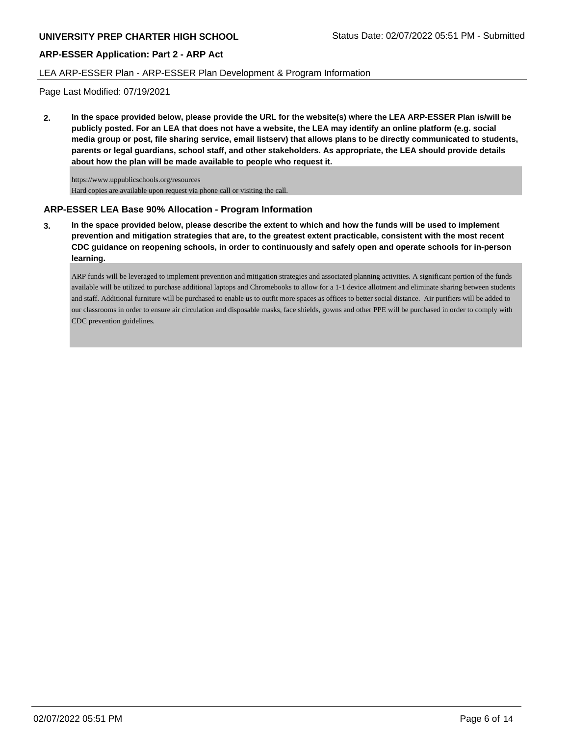### **ARP-ESSER Application: Part 2 - ARP Act**

#### LEA ARP-ESSER Plan - ARP-ESSER Plan Development & Program Information

Page Last Modified: 07/19/2021

**2. In the space provided below, please provide the URL for the website(s) where the LEA ARP-ESSER Plan is/will be publicly posted. For an LEA that does not have a website, the LEA may identify an online platform (e.g. social media group or post, file sharing service, email listserv) that allows plans to be directly communicated to students, parents or legal guardians, school staff, and other stakeholders. As appropriate, the LEA should provide details about how the plan will be made available to people who request it.**

https://www.uppublicschools.org/resources Hard copies are available upon request via phone call or visiting the call.

### **ARP-ESSER LEA Base 90% Allocation - Program Information**

**3. In the space provided below, please describe the extent to which and how the funds will be used to implement prevention and mitigation strategies that are, to the greatest extent practicable, consistent with the most recent CDC guidance on reopening schools, in order to continuously and safely open and operate schools for in-person learning.**

ARP funds will be leveraged to implement prevention and mitigation strategies and associated planning activities. A significant portion of the funds available will be utilized to purchase additional laptops and Chromebooks to allow for a 1-1 device allotment and eliminate sharing between students and staff. Additional furniture will be purchased to enable us to outfit more spaces as offices to better social distance. Air purifiers will be added to our classrooms in order to ensure air circulation and disposable masks, face shields, gowns and other PPE will be purchased in order to comply with CDC prevention guidelines.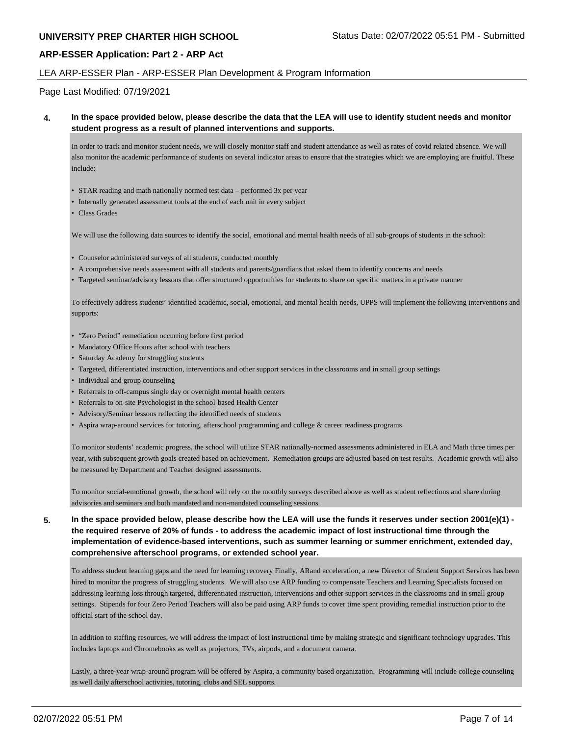#### **ARP-ESSER Application: Part 2 - ARP Act**

#### LEA ARP-ESSER Plan - ARP-ESSER Plan Development & Program Information

Page Last Modified: 07/19/2021

#### **4. In the space provided below, please describe the data that the LEA will use to identify student needs and monitor student progress as a result of planned interventions and supports.**

In order to track and monitor student needs, we will closely monitor staff and student attendance as well as rates of covid related absence. We will also monitor the academic performance of students on several indicator areas to ensure that the strategies which we are employing are fruitful. These include:

- STAR reading and math nationally normed test data performed 3x per year
- Internally generated assessment tools at the end of each unit in every subject
- Class Grades

We will use the following data sources to identify the social, emotional and mental health needs of all sub-groups of students in the school:

- Counselor administered surveys of all students, conducted monthly
- A comprehensive needs assessment with all students and parents/guardians that asked them to identify concerns and needs
- Targeted seminar/advisory lessons that offer structured opportunities for students to share on specific matters in a private manner

To effectively address students' identified academic, social, emotional, and mental health needs, UPPS will implement the following interventions and supports:

- "Zero Period" remediation occurring before first period
- Mandatory Office Hours after school with teachers
- Saturday Academy for struggling students
- Targeted, differentiated instruction, interventions and other support services in the classrooms and in small group settings
- Individual and group counseling
- Referrals to off-campus single day or overnight mental health centers
- Referrals to on-site Psychologist in the school-based Health Center
- Advisory/Seminar lessons reflecting the identified needs of students
- Aspira wrap-around services for tutoring, afterschool programming and college & career readiness programs

To monitor students' academic progress, the school will utilize STAR nationally-normed assessments administered in ELA and Math three times per year, with subsequent growth goals created based on achievement. Remediation groups are adjusted based on test results. Academic growth will also be measured by Department and Teacher designed assessments.

To monitor social-emotional growth, the school will rely on the monthly surveys described above as well as student reflections and share during advisories and seminars and both mandated and non-mandated counseling sessions.

**5. In the space provided below, please describe how the LEA will use the funds it reserves under section 2001(e)(1) the required reserve of 20% of funds - to address the academic impact of lost instructional time through the implementation of evidence-based interventions, such as summer learning or summer enrichment, extended day, comprehensive afterschool programs, or extended school year.**

To address student learning gaps and the need for learning recovery Finally, ARand acceleration, a new Director of Student Support Services has been hired to monitor the progress of struggling students. We will also use ARP funding to compensate Teachers and Learning Specialists focused on addressing learning loss through targeted, differentiated instruction, interventions and other support services in the classrooms and in small group settings. Stipends for four Zero Period Teachers will also be paid using ARP funds to cover time spent providing remedial instruction prior to the official start of the school day.

In addition to staffing resources, we will address the impact of lost instructional time by making strategic and significant technology upgrades. This includes laptops and Chromebooks as well as projectors, TVs, airpods, and a document camera.

Lastly, a three-year wrap-around program will be offered by Aspira, a community based organization. Programming will include college counseling as well daily afterschool activities, tutoring, clubs and SEL supports.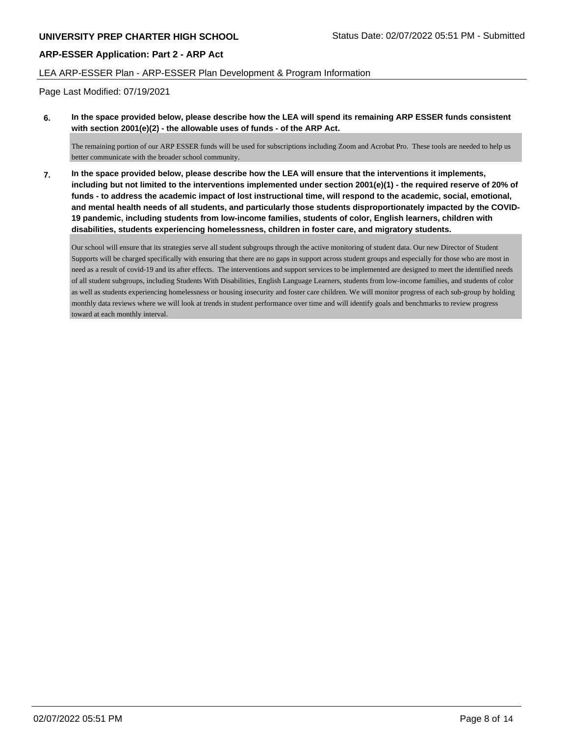### **ARP-ESSER Application: Part 2 - ARP Act**

#### LEA ARP-ESSER Plan - ARP-ESSER Plan Development & Program Information

Page Last Modified: 07/19/2021

**6. In the space provided below, please describe how the LEA will spend its remaining ARP ESSER funds consistent with section 2001(e)(2) - the allowable uses of funds - of the ARP Act.**

The remaining portion of our ARP ESSER funds will be used for subscriptions including Zoom and Acrobat Pro. These tools are needed to help us better communicate with the broader school community.

**7. In the space provided below, please describe how the LEA will ensure that the interventions it implements, including but not limited to the interventions implemented under section 2001(e)(1) - the required reserve of 20% of funds - to address the academic impact of lost instructional time, will respond to the academic, social, emotional, and mental health needs of all students, and particularly those students disproportionately impacted by the COVID-19 pandemic, including students from low-income families, students of color, English learners, children with disabilities, students experiencing homelessness, children in foster care, and migratory students.**

Our school will ensure that its strategies serve all student subgroups through the active monitoring of student data. Our new Director of Student Supports will be charged specifically with ensuring that there are no gaps in support across student groups and especially for those who are most in need as a result of covid-19 and its after effects. The interventions and support services to be implemented are designed to meet the identified needs of all student subgroups, including Students With Disabilities, English Language Learners, students from low-income families, and students of color as well as students experiencing homelessness or housing insecurity and foster care children. We will monitor progress of each sub-group by holding monthly data reviews where we will look at trends in student performance over time and will identify goals and benchmarks to review progress toward at each monthly interval.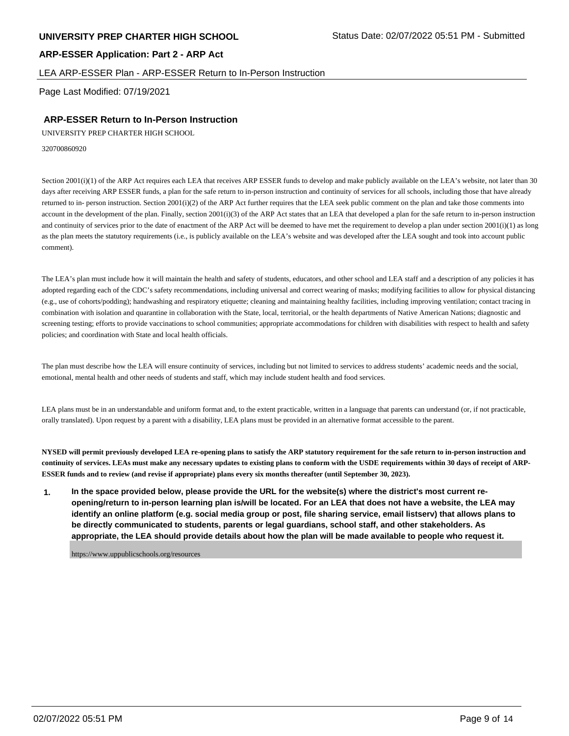#### **ARP-ESSER Application: Part 2 - ARP Act**

#### LEA ARP-ESSER Plan - ARP-ESSER Return to In-Person Instruction

Page Last Modified: 07/19/2021

## **ARP-ESSER Return to In-Person Instruction**

UNIVERSITY PREP CHARTER HIGH SCHOOL

320700860920

Section 2001(i)(1) of the ARP Act requires each LEA that receives ARP ESSER funds to develop and make publicly available on the LEA's website, not later than 30 days after receiving ARP ESSER funds, a plan for the safe return to in-person instruction and continuity of services for all schools, including those that have already returned to in- person instruction. Section 2001(i)(2) of the ARP Act further requires that the LEA seek public comment on the plan and take those comments into account in the development of the plan. Finally, section 2001(i)(3) of the ARP Act states that an LEA that developed a plan for the safe return to in-person instruction and continuity of services prior to the date of enactment of the ARP Act will be deemed to have met the requirement to develop a plan under section 2001(i)(1) as long as the plan meets the statutory requirements (i.e., is publicly available on the LEA's website and was developed after the LEA sought and took into account public comment).

The LEA's plan must include how it will maintain the health and safety of students, educators, and other school and LEA staff and a description of any policies it has adopted regarding each of the CDC's safety recommendations, including universal and correct wearing of masks; modifying facilities to allow for physical distancing (e.g., use of cohorts/podding); handwashing and respiratory etiquette; cleaning and maintaining healthy facilities, including improving ventilation; contact tracing in combination with isolation and quarantine in collaboration with the State, local, territorial, or the health departments of Native American Nations; diagnostic and screening testing; efforts to provide vaccinations to school communities; appropriate accommodations for children with disabilities with respect to health and safety policies; and coordination with State and local health officials.

The plan must describe how the LEA will ensure continuity of services, including but not limited to services to address students' academic needs and the social, emotional, mental health and other needs of students and staff, which may include student health and food services.

LEA plans must be in an understandable and uniform format and, to the extent practicable, written in a language that parents can understand (or, if not practicable, orally translated). Upon request by a parent with a disability, LEA plans must be provided in an alternative format accessible to the parent.

**NYSED will permit previously developed LEA re-opening plans to satisfy the ARP statutory requirement for the safe return to in-person instruction and continuity of services. LEAs must make any necessary updates to existing plans to conform with the USDE requirements within 30 days of receipt of ARP-ESSER funds and to review (and revise if appropriate) plans every six months thereafter (until September 30, 2023).**

**1. In the space provided below, please provide the URL for the website(s) where the district's most current reopening/return to in-person learning plan is/will be located. For an LEA that does not have a website, the LEA may identify an online platform (e.g. social media group or post, file sharing service, email listserv) that allows plans to be directly communicated to students, parents or legal guardians, school staff, and other stakeholders. As appropriate, the LEA should provide details about how the plan will be made available to people who request it.**

https://www.uppublicschools.org/resources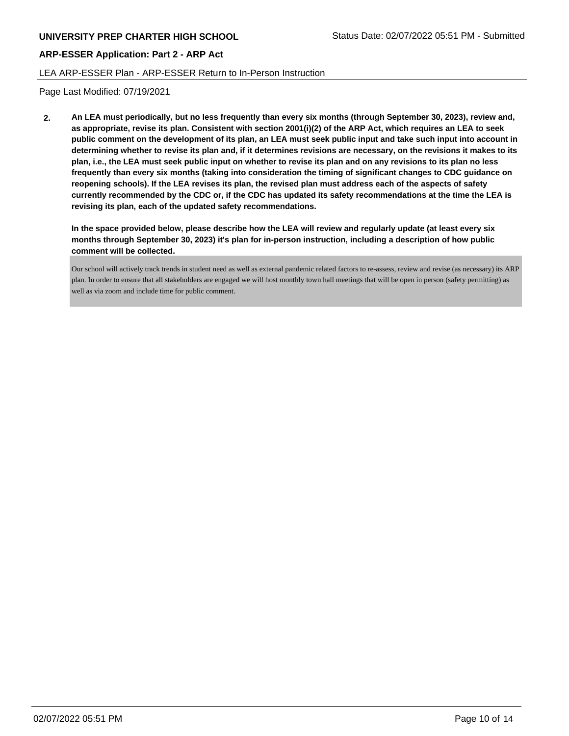#### LEA ARP-ESSER Plan - ARP-ESSER Return to In-Person Instruction

Page Last Modified: 07/19/2021

**2. An LEA must periodically, but no less frequently than every six months (through September 30, 2023), review and, as appropriate, revise its plan. Consistent with section 2001(i)(2) of the ARP Act, which requires an LEA to seek public comment on the development of its plan, an LEA must seek public input and take such input into account in determining whether to revise its plan and, if it determines revisions are necessary, on the revisions it makes to its plan, i.e., the LEA must seek public input on whether to revise its plan and on any revisions to its plan no less frequently than every six months (taking into consideration the timing of significant changes to CDC guidance on reopening schools). If the LEA revises its plan, the revised plan must address each of the aspects of safety currently recommended by the CDC or, if the CDC has updated its safety recommendations at the time the LEA is revising its plan, each of the updated safety recommendations.**

**In the space provided below, please describe how the LEA will review and regularly update (at least every six months through September 30, 2023) it's plan for in-person instruction, including a description of how public comment will be collected.**

Our school will actively track trends in student need as well as external pandemic related factors to re-assess, review and revise (as necessary) its ARP plan. In order to ensure that all stakeholders are engaged we will host monthly town hall meetings that will be open in person (safety permitting) as well as via zoom and include time for public comment.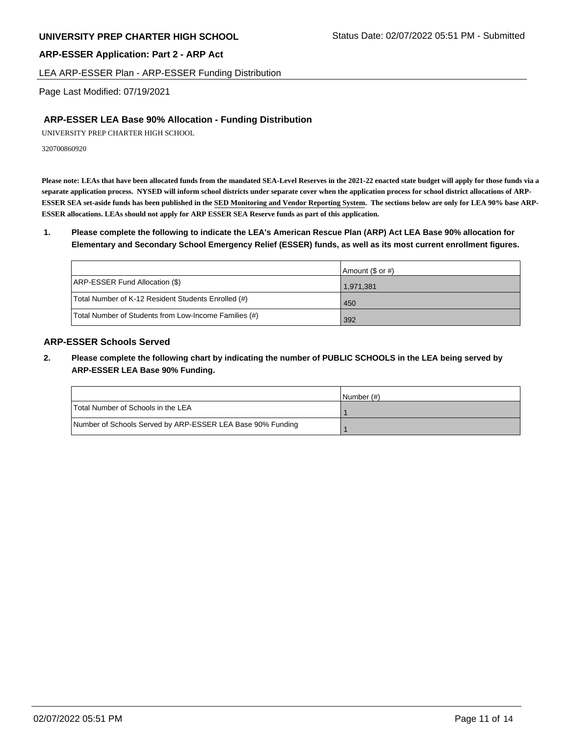## **ARP-ESSER Application: Part 2 - ARP Act**

#### LEA ARP-ESSER Plan - ARP-ESSER Funding Distribution

Page Last Modified: 07/19/2021

## **ARP-ESSER LEA Base 90% Allocation - Funding Distribution**

UNIVERSITY PREP CHARTER HIGH SCHOOL

320700860920

**Please note: LEAs that have been allocated funds from the mandated SEA-Level Reserves in the 2021-22 enacted state budget will apply for those funds via a separate application process. NYSED will inform school districts under separate cover when the application process for school district allocations of ARP-ESSER SEA set-aside funds has been published in the SED Monitoring and Vendor Reporting System. The sections below are only for LEA 90% base ARP-ESSER allocations. LEAs should not apply for ARP ESSER SEA Reserve funds as part of this application.**

**1. Please complete the following to indicate the LEA's American Rescue Plan (ARP) Act LEA Base 90% allocation for Elementary and Secondary School Emergency Relief (ESSER) funds, as well as its most current enrollment figures.**

|                                                       | Amount (\$ or #) |
|-------------------------------------------------------|------------------|
| ARP-ESSER Fund Allocation (\$)                        | 1,971,381        |
| Total Number of K-12 Resident Students Enrolled (#)   | 450              |
| Total Number of Students from Low-Income Families (#) | 392              |

#### **ARP-ESSER Schools Served**

**2. Please complete the following chart by indicating the number of PUBLIC SCHOOLS in the LEA being served by ARP-ESSER LEA Base 90% Funding.**

|                                                            | INumber (#) |
|------------------------------------------------------------|-------------|
| Total Number of Schools in the LEA                         |             |
| Number of Schools Served by ARP-ESSER LEA Base 90% Funding |             |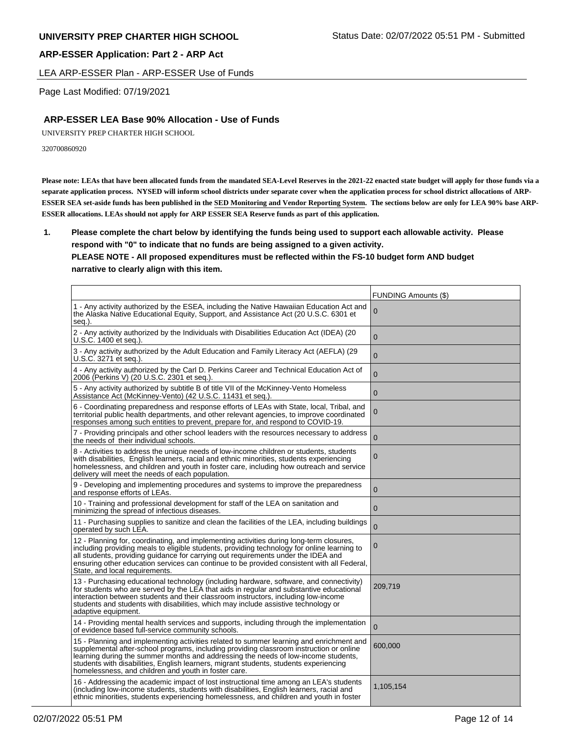## **ARP-ESSER Application: Part 2 - ARP Act**

LEA ARP-ESSER Plan - ARP-ESSER Use of Funds

Page Last Modified: 07/19/2021

## **ARP-ESSER LEA Base 90% Allocation - Use of Funds**

UNIVERSITY PREP CHARTER HIGH SCHOOL

320700860920

**Please note: LEAs that have been allocated funds from the mandated SEA-Level Reserves in the 2021-22 enacted state budget will apply for those funds via a separate application process. NYSED will inform school districts under separate cover when the application process for school district allocations of ARP-ESSER SEA set-aside funds has been published in the SED Monitoring and Vendor Reporting System. The sections below are only for LEA 90% base ARP-ESSER allocations. LEAs should not apply for ARP ESSER SEA Reserve funds as part of this application.**

**1. Please complete the chart below by identifying the funds being used to support each allowable activity. Please respond with "0" to indicate that no funds are being assigned to a given activity.** 

### **PLEASE NOTE - All proposed expenditures must be reflected within the FS-10 budget form AND budget narrative to clearly align with this item.**

|                                                                                                                                                                                                                                                                                                                                                                                                                           | <b>FUNDING Amounts (\$)</b> |
|---------------------------------------------------------------------------------------------------------------------------------------------------------------------------------------------------------------------------------------------------------------------------------------------------------------------------------------------------------------------------------------------------------------------------|-----------------------------|
| 1 - Any activity authorized by the ESEA, including the Native Hawaiian Education Act and<br>the Alaska Native Educational Equity, Support, and Assistance Act (20 U.S.C. 6301 et<br>seq.).                                                                                                                                                                                                                                | 0                           |
| 2 - Any activity authorized by the Individuals with Disabilities Education Act (IDEA) (20<br>U.S.C. 1400 et seq.).                                                                                                                                                                                                                                                                                                        | $\mathbf{0}$                |
| 3 - Any activity authorized by the Adult Education and Family Literacy Act (AEFLA) (29<br>U.S.C. 3271 et seq.).                                                                                                                                                                                                                                                                                                           | $\mathbf 0$                 |
| 4 - Any activity authorized by the Carl D. Perkins Career and Technical Education Act of<br>2006 (Perkins V) (20 U.S.C. 2301 et seq.).                                                                                                                                                                                                                                                                                    | $\mathbf{0}$                |
| 5 - Any activity authorized by subtitle B of title VII of the McKinney-Vento Homeless<br>Assistance Act (McKinney-Vento) (42 U.S.C. 11431 et seq.).                                                                                                                                                                                                                                                                       | $\mathbf 0$                 |
| 6 - Coordinating preparedness and response efforts of LEAs with State, local, Tribal, and<br>territorial public health departments, and other relevant agencies, to improve coordinated<br>responses among such entities to prevent, prepare for, and respond to COVID-19.                                                                                                                                                | 0                           |
| 7 - Providing principals and other school leaders with the resources necessary to address<br>the needs of their individual schools.                                                                                                                                                                                                                                                                                       | $\Omega$                    |
| 8 - Activities to address the unique needs of low-income children or students, students<br>with disabilities, English learners, racial and ethnic minorities, students experiencing<br>homelessness, and children and youth in foster care, including how outreach and service<br>delivery will meet the needs of each population.                                                                                        | 0                           |
| 9 - Developing and implementing procedures and systems to improve the preparedness<br>and response efforts of LEAs.                                                                                                                                                                                                                                                                                                       | $\overline{0}$              |
| 10 - Training and professional development for staff of the LEA on sanitation and<br>minimizing the spread of infectious diseases.                                                                                                                                                                                                                                                                                        | $\mathbf 0$                 |
| 11 - Purchasing supplies to sanitize and clean the facilities of the LEA, including buildings<br>operated by such LEA.                                                                                                                                                                                                                                                                                                    | $\Omega$                    |
| 12 - Planning for, coordinating, and implementing activities during long-term closures,<br>including providing meals to eligible students, providing technology for online learning to<br>all students, providing guidance for carrying out requirements under the IDEA and<br>ensuring other education services can continue to be provided consistent with all Federal,<br>State, and local requirements.               | 0                           |
| 13 - Purchasing educational technology (including hardware, software, and connectivity)<br>for students who are served by the LEA that aids in regular and substantive educational<br>interaction between students and their classroom instructors, including low-income<br>students and students with disabilities, which may include assistive technology or<br>adaptive equipment.                                     | 209,719                     |
| 14 - Providing mental health services and supports, including through the implementation<br>of evidence based full-service community schools.                                                                                                                                                                                                                                                                             | $\mathbf 0$                 |
| 15 - Planning and implementing activities related to summer learning and enrichment and<br>supplemental after-school programs, including providing classroom instruction or online<br>learning during the summer months and addressing the needs of low-income students,<br>students with disabilities, English learners, migrant students, students experiencing<br>homelessness, and children and youth in foster care. | 600,000                     |
| 16 - Addressing the academic impact of lost instructional time among an LEA's students<br>(including low-income students, students with disabilities, English learners, racial and<br>ethnic minorities, students experiencing homelessness, and children and youth in foster                                                                                                                                             | 1,105,154                   |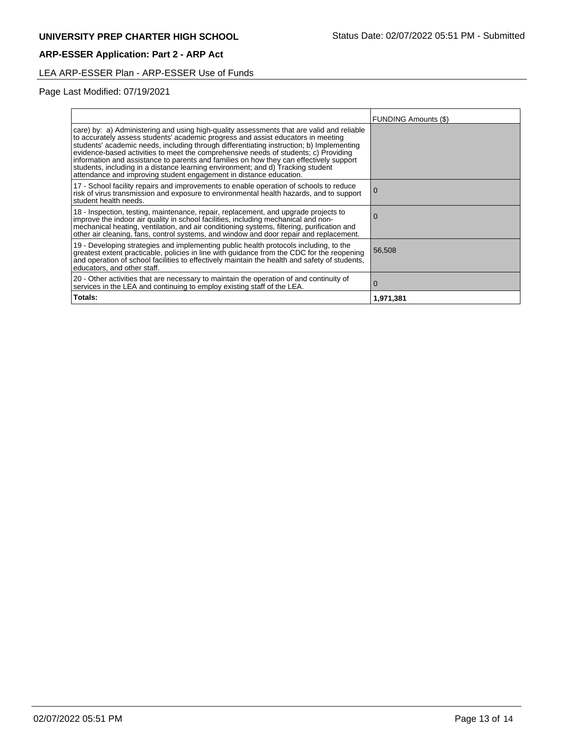## LEA ARP-ESSER Plan - ARP-ESSER Use of Funds

## Page Last Modified: 07/19/2021

|                                                                                                                                                                                                                                                                                                                                                                                                                                                                                                                                                                                                                     | <b>FUNDING Amounts (\$)</b> |
|---------------------------------------------------------------------------------------------------------------------------------------------------------------------------------------------------------------------------------------------------------------------------------------------------------------------------------------------------------------------------------------------------------------------------------------------------------------------------------------------------------------------------------------------------------------------------------------------------------------------|-----------------------------|
| care) by: a) Administering and using high-quality assessments that are valid and reliable<br>to accurately assess students' academic progress and assist educators in meeting<br>students' academic needs, including through differentiating instruction; b) Implementing<br>evidence-based activities to meet the comprehensive needs of students; c) Providing<br>information and assistance to parents and families on how they can effectively support<br>students, including in a distance learning environment; and d) Tracking student<br>attendance and improving student engagement in distance education. |                             |
| 17 - School facility repairs and improvements to enable operation of schools to reduce<br>risk of virus transmission and exposure to environmental health hazards, and to support<br>student health needs.                                                                                                                                                                                                                                                                                                                                                                                                          | $\Omega$                    |
| 18 - Inspection, testing, maintenance, repair, replacement, and upgrade projects to<br>improve the indoor air quality in school facilities, including mechanical and non-<br>mechanical heating, ventilation, and air conditioning systems, filtering, purification and<br>other air cleaning, tans, control systems, and window and door repair and replacement.                                                                                                                                                                                                                                                   |                             |
| 19 - Developing strategies and implementing public health protocols including, to the<br>greatest extent practicable, policies in line with guidance from the CDC for the reopening<br>and operation of school facilities to effectively maintain the health and safety of students,<br>educators, and other staff.                                                                                                                                                                                                                                                                                                 | 56,508                      |
| 20 - Other activities that are necessary to maintain the operation of and continuity of<br>services in the LEA and continuing to employ existing staff of the LEA.                                                                                                                                                                                                                                                                                                                                                                                                                                                  | $\Omega$                    |
| Totals:                                                                                                                                                                                                                                                                                                                                                                                                                                                                                                                                                                                                             | 1,971,381                   |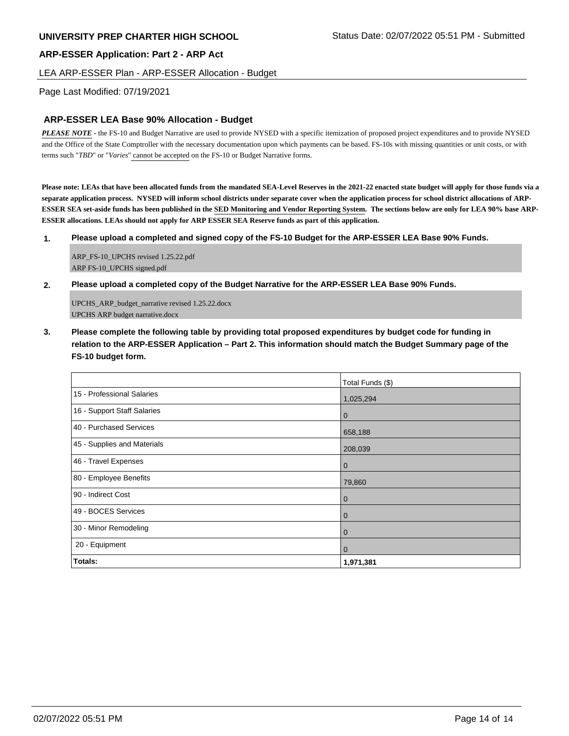#### **ARP-ESSER Application: Part 2 - ARP Act**

#### LEA ARP-ESSER Plan - ARP-ESSER Allocation - Budget

### Page Last Modified: 07/19/2021

### **ARP-ESSER LEA Base 90% Allocation - Budget**

*PLEASE NOTE* - the FS-10 and Budget Narrative are used to provide NYSED with a specific itemization of proposed project expenditures and to provide NYSED and the Office of the State Comptroller with the necessary documentation upon which payments can be based. FS-10s with missing quantities or unit costs, or with terms such "*TBD*" or "*Varies*" cannot be accepted on the FS-10 or Budget Narrative forms.

**Please note: LEAs that have been allocated funds from the mandated SEA-Level Reserves in the 2021-22 enacted state budget will apply for those funds via a separate application process. NYSED will inform school districts under separate cover when the application process for school district allocations of ARP-ESSER SEA set-aside funds has been published in the SED Monitoring and Vendor Reporting System. The sections below are only for LEA 90% base ARP-ESSER allocations. LEAs should not apply for ARP ESSER SEA Reserve funds as part of this application.**

#### **1. Please upload a completed and signed copy of the FS-10 Budget for the ARP-ESSER LEA Base 90% Funds.**

ARP\_FS-10\_UPCHS revised 1.25.22.pdf ARP FS-10 UPCHS signed.pdf

#### **2. Please upload a completed copy of the Budget Narrative for the ARP-ESSER LEA Base 90% Funds.**

UPCHS\_ARP\_budget\_narrative revised 1.25.22.docx UPCHS ARP budget narrative.docx

**3. Please complete the following table by providing total proposed expenditures by budget code for funding in relation to the ARP-ESSER Application – Part 2. This information should match the Budget Summary page of the FS-10 budget form.**

|                             | Total Funds (\$) |
|-----------------------------|------------------|
| 15 - Professional Salaries  | 1,025,294        |
| 16 - Support Staff Salaries | $\mathbf 0$      |
| 40 - Purchased Services     | 658,188          |
| 45 - Supplies and Materials | 208,039          |
| 46 - Travel Expenses        | $\mathbf 0$      |
| 80 - Employee Benefits      | 79,860           |
| 90 - Indirect Cost          | $\mathbf 0$      |
| 49 - BOCES Services         | $\mathbf 0$      |
| 30 - Minor Remodeling       | $\mathbf 0$      |
| 20 - Equipment              | $\mathbf 0$      |
| Totals:                     | 1,971,381        |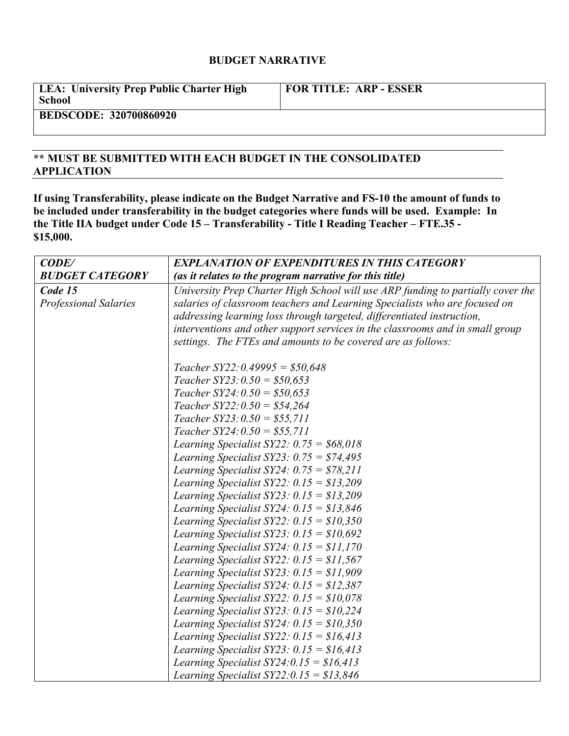## **BUDGET NARRATIVE**

| <b>LEA: University Prep Public Charter High</b><br>School |  |
|-----------------------------------------------------------|--|
| <b>BEDSCODE: 320700860920</b>                             |  |

## **FOR TITLE: ARP - ESSER**

## **\*\* MUST BE SUBMITTED WITH EACH BUDGET IN THE CONSOLIDATED APPLICATION**

**If using Transferability, please indicate on the Budget Narrative and FS-10 the amount of funds to be included under transferability in the budget categories where funds will be used. Example: In the Title IIA budget under Code 15 – Transferability - Title I Reading Teacher – FTE.35 - \$15,000.**

| CODE/                        | <b>EXPLANATION OF EXPENDITURES IN THIS CATEGORY</b>                             |  |  |
|------------------------------|---------------------------------------------------------------------------------|--|--|
| <b>BUDGET CATEGORY</b>       | (as it relates to the program narrative for this title)                         |  |  |
| Code 15                      | University Prep Charter High School will use ARP funding to partially cover the |  |  |
| <b>Professional Salaries</b> | salaries of classroom teachers and Learning Specialists who are focused on      |  |  |
|                              | addressing learning loss through targeted, differentiated instruction,          |  |  |
|                              | interventions and other support services in the classrooms and in small group   |  |  |
|                              | settings. The FTEs and amounts to be covered are as follows:                    |  |  |
|                              | Teacher SY22: $0.49995 = $50,648$                                               |  |  |
|                              | Teacher $SY23:0.50 = $50,653$                                                   |  |  |
|                              | Teacher $SY24:0.50 = $50,653$                                                   |  |  |
|                              | Teacher $SY22:0.50 = $54,264$                                                   |  |  |
|                              | Teacher $SY23:0.50 = $55,711$                                                   |  |  |
|                              | Teacher $SY24:0.50 = $55,711$                                                   |  |  |
|                              | Learning Specialist SY22: $0.75 = $68,018$                                      |  |  |
|                              | Learning Specialist SY23: $0.75 = $74,495$                                      |  |  |
|                              | Learning Specialist SY24: $0.75 = $78,211$                                      |  |  |
|                              | Learning Specialist SY22: $0.15 = $13,209$                                      |  |  |
|                              | Learning Specialist SY23: $0.15 = $13,209$                                      |  |  |
|                              | Learning Specialist SY24: $0.15 = $13,846$                                      |  |  |
|                              | Learning Specialist SY22: $0.15 = $10,350$                                      |  |  |
|                              | Learning Specialist SY23: $0.15 = $10,692$                                      |  |  |
|                              | Learning Specialist SY24: $0.15 = $11,170$                                      |  |  |
|                              | Learning Specialist SY22: $0.15 = $11,567$                                      |  |  |
|                              | Learning Specialist SY23: $0.15 = $11,909$                                      |  |  |
|                              | Learning Specialist SY24: $0.15 = $12,387$                                      |  |  |
|                              | Learning Specialist SY22: $0.15 = $10,078$                                      |  |  |
|                              | Learning Specialist SY23: $0.15 = $10,224$                                      |  |  |
|                              | Learning Specialist SY24: $0.15 = $10,350$                                      |  |  |
|                              | Learning Specialist SY22: $0.15 = $16,413$                                      |  |  |
|                              | Learning Specialist SY23: $0.15 = $16,413$                                      |  |  |
|                              | Learning Specialist $SY24:0.15 = $16,413$                                       |  |  |
|                              | Learning Specialist SY22:0.15 = $$13,846$                                       |  |  |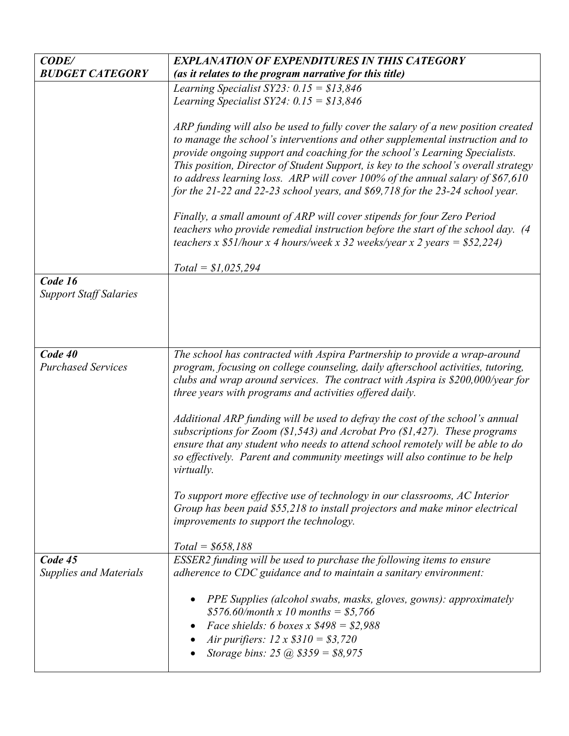| CODE/                                    | <b>EXPLANATION OF EXPENDITURES IN THIS CATEGORY</b>                                                                                                                                                                                                                                                                                                                                                                                                                                                                                                                                                                                                                                                                                                                                                                                                                                                  |  |  |
|------------------------------------------|------------------------------------------------------------------------------------------------------------------------------------------------------------------------------------------------------------------------------------------------------------------------------------------------------------------------------------------------------------------------------------------------------------------------------------------------------------------------------------------------------------------------------------------------------------------------------------------------------------------------------------------------------------------------------------------------------------------------------------------------------------------------------------------------------------------------------------------------------------------------------------------------------|--|--|
| <b>BUDGET CATEGORY</b>                   | (as it relates to the program narrative for this title)                                                                                                                                                                                                                                                                                                                                                                                                                                                                                                                                                                                                                                                                                                                                                                                                                                              |  |  |
|                                          | Learning Specialist SY23: $0.15 = $13,846$<br>Learning Specialist SY24: $0.15 = $13,846$                                                                                                                                                                                                                                                                                                                                                                                                                                                                                                                                                                                                                                                                                                                                                                                                             |  |  |
|                                          | ARP funding will also be used to fully cover the salary of a new position created<br>to manage the school's interventions and other supplemental instruction and to<br>provide ongoing support and coaching for the school's Learning Specialists.<br>This position, Director of Student Support, is key to the school's overall strategy<br>to address learning loss. ARP will cover 100% of the annual salary of \$67,610<br>for the 21-22 and 22-23 school years, and \$69,718 for the 23-24 school year.<br>Finally, a small amount of ARP will cover stipends for four Zero Period<br>teachers who provide remedial instruction before the start of the school day. (4<br>teachers x \$51/hour x 4 hours/week x 32 weeks/year x 2 years = \$52,224)                                                                                                                                             |  |  |
|                                          |                                                                                                                                                                                                                                                                                                                                                                                                                                                                                                                                                                                                                                                                                                                                                                                                                                                                                                      |  |  |
| Code 16<br><b>Support Staff Salaries</b> | $Total = $1,025,294$                                                                                                                                                                                                                                                                                                                                                                                                                                                                                                                                                                                                                                                                                                                                                                                                                                                                                 |  |  |
| Code 40<br><b>Purchased Services</b>     | The school has contracted with Aspira Partnership to provide a wrap-around<br>program, focusing on college counseling, daily afterschool activities, tutoring,<br>clubs and wrap around services. The contract with Aspira is \$200,000/year for<br>three years with programs and activities offered daily.<br>Additional ARP funding will be used to defray the cost of the school's annual<br>subscriptions for Zoom $(S1, 543)$ and Acrobat Pro $(S1, 427)$ . These programs<br>ensure that any student who needs to attend school remotely will be able to do<br>so effectively. Parent and community meetings will also continue to be help<br><i>virtually.</i><br>To support more effective use of technology in our classrooms, AC Interior<br>Group has been paid \$55,218 to install projectors and make minor electrical<br>improvements to support the technology.<br>$Total = $658,188$ |  |  |
| Code 45<br><b>Supplies and Materials</b> | ESSER2 funding will be used to purchase the following items to ensure<br>adherence to CDC guidance and to maintain a sanitary environment:<br>PPE Supplies (alcohol swabs, masks, gloves, gowns): approximately<br>٠<br>$$576.60/month x 10 months = $5,766$<br><i>Face shields:</i> 6 boxes x $$498 = $2,988$<br>Air purifiers: $12 \times $310 = $3,720$<br>Storage bins: 25 (a) $$359 = $8,975$                                                                                                                                                                                                                                                                                                                                                                                                                                                                                                   |  |  |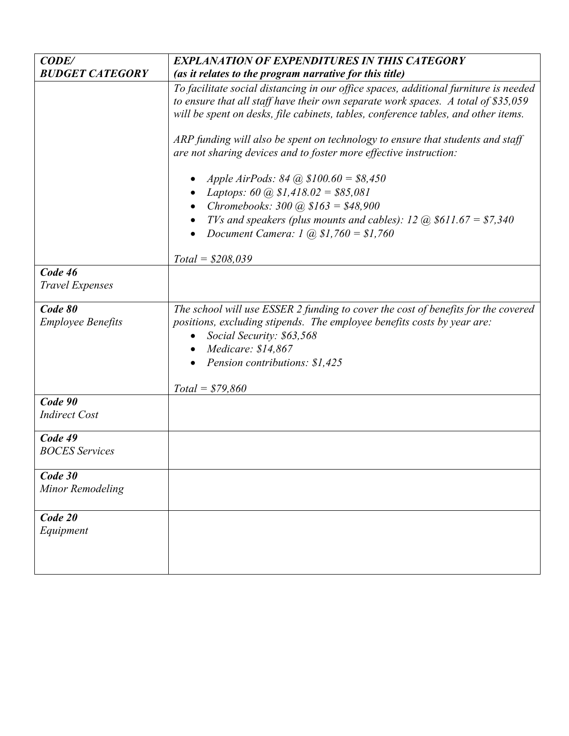| CODE/                               | <b>EXPLANATION OF EXPENDITURES IN THIS CATEGORY</b>                                                                                                                                                                                                                                                                                               |  |  |
|-------------------------------------|---------------------------------------------------------------------------------------------------------------------------------------------------------------------------------------------------------------------------------------------------------------------------------------------------------------------------------------------------|--|--|
| <b>BUDGET CATEGORY</b>              | (as it relates to the program narrative for this title)                                                                                                                                                                                                                                                                                           |  |  |
|                                     | To facilitate social distancing in our office spaces, additional furniture is needed<br>to ensure that all staff have their own separate work spaces. A total of \$35,059<br>will be spent on desks, file cabinets, tables, conference tables, and other items.<br>ARP funding will also be spent on technology to ensure that students and staff |  |  |
|                                     | are not sharing devices and to foster more effective instruction:                                                                                                                                                                                                                                                                                 |  |  |
|                                     | Apple AirPods: 84 (a) $$100.60 = $8,450$                                                                                                                                                                                                                                                                                                          |  |  |
|                                     | Laptops: 60 $\omega$ \$1,418.02 = \$85,081<br>Chromebooks: $300 \text{ (a)} $163 = $48,900$                                                                                                                                                                                                                                                       |  |  |
|                                     | TVs and speakers (plus mounts and cables): 12 $@$ \$611.67 = \$7,340<br>Document Camera: 1 (a) $$1,760 = $1,760$                                                                                                                                                                                                                                  |  |  |
|                                     | $Total = $208,039$                                                                                                                                                                                                                                                                                                                                |  |  |
| Code 46<br><b>Travel Expenses</b>   |                                                                                                                                                                                                                                                                                                                                                   |  |  |
| Code 80<br><b>Employee Benefits</b> | The school will use ESSER 2 funding to cover the cost of benefits for the covered<br>positions, excluding stipends. The employee benefits costs by year are:<br>Social Security: \$63,568<br>Medicare: \$14,867<br>$\bullet$<br>Pension contributions: \$1,425                                                                                    |  |  |
|                                     | $Total = $79,860$                                                                                                                                                                                                                                                                                                                                 |  |  |
| Code 90<br><b>Indirect Cost</b>     |                                                                                                                                                                                                                                                                                                                                                   |  |  |
| Code 49<br><b>BOCES</b> Services    |                                                                                                                                                                                                                                                                                                                                                   |  |  |
| Code 30<br>Minor Remodeling         |                                                                                                                                                                                                                                                                                                                                                   |  |  |
| Code 20<br>Equipment                |                                                                                                                                                                                                                                                                                                                                                   |  |  |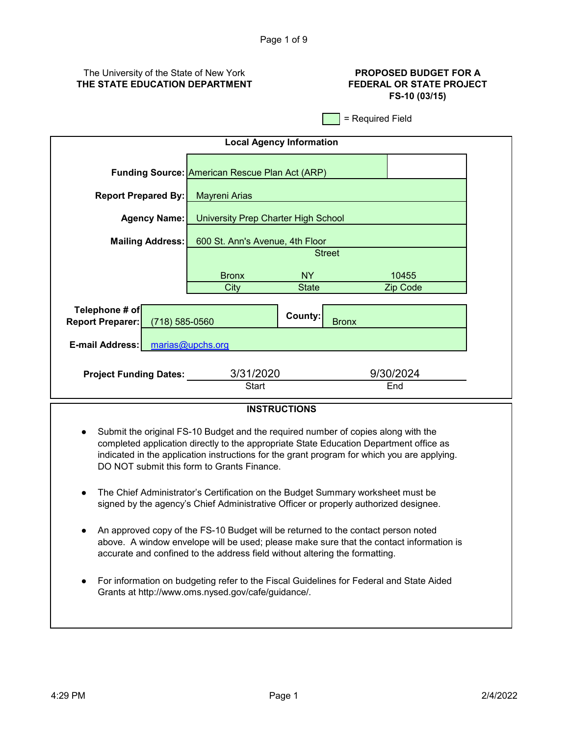## The University of the State of New York **THE STATE EDUCATION DEPARTMENT**

## **PROPOSED BUDGET FOR A FEDERAL OR STATE PROJECT FS-10 (03/15)**

= Required Field

| <b>Local Agency Information</b>                                 |                                                       |                                     |                   |  |
|-----------------------------------------------------------------|-------------------------------------------------------|-------------------------------------|-------------------|--|
|                                                                 | <b>Funding Source: American Rescue Plan Act (ARP)</b> |                                     |                   |  |
| <b>Report Prepared By:</b>                                      | <b>Mayreni Arias</b>                                  |                                     |                   |  |
| <b>Agency Name:</b>                                             |                                                       | University Prep Charter High School |                   |  |
| <b>Mailing Address:</b>                                         | 600 St. Ann's Avenue, 4th Floor<br><b>Street</b>      |                                     |                   |  |
|                                                                 |                                                       |                                     |                   |  |
|                                                                 | <b>Bronx</b><br>City                                  | <b>NY</b><br><b>State</b>           | 10455<br>Zip Code |  |
| Telephone # of<br>$(718) 585 - 0560$<br><b>Report Preparer:</b> |                                                       | County:                             | <b>Bronx</b>      |  |
| E-mail Address:<br>marias@upchs.org                             |                                                       |                                     |                   |  |
| <b>Project Funding Dates:</b>                                   | 3/31/2020<br>Start                                    |                                     | 9/30/2024<br>End  |  |

## **INSTRUCTIONS**

- Submit the original FS-10 Budget and the required number of copies along with the completed application directly to the appropriate State Education Department office as indicated in the application instructions for the grant program for which you are applying. DO NOT submit this form to Grants Finance.
- $\bullet$ The Chief Administrator's Certification on the Budget Summary worksheet must be signed by the agency's Chief Administrative Officer or properly authorized designee.
- An approved copy of the FS-10 Budget will be returned to the contact person noted above. A window envelope will be used; please make sure that the contact information is accurate and confined to the address field without altering the formatting.
- For information on budgeting refer to the Fiscal Guidelines for Federal and State Aided Grants at http://www.oms.nysed.gov/cafe/guidance/.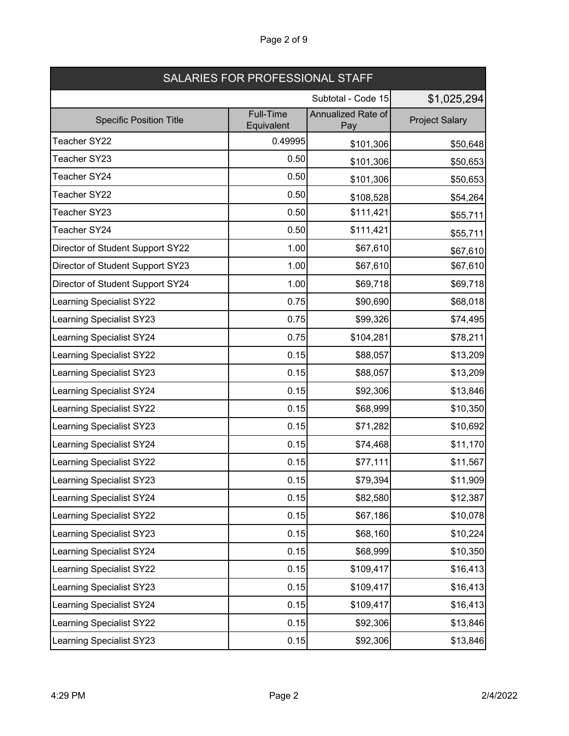| SALARIES FOR PROFESSIONAL STAFF  |                         |                           |                       |  |
|----------------------------------|-------------------------|---------------------------|-----------------------|--|
| Subtotal - Code 15               |                         |                           | \$1,025,294           |  |
| <b>Specific Position Title</b>   | Full-Time<br>Equivalent | Annualized Rate of<br>Pay | <b>Project Salary</b> |  |
| Teacher SY22                     | 0.49995                 | \$101,306                 | \$50,648              |  |
| Teacher SY23                     | 0.50                    | \$101,306                 | \$50,653              |  |
| Teacher SY24                     | 0.50                    | \$101,306                 | \$50,653              |  |
| Teacher SY22                     | 0.50                    | \$108,528                 | \$54,264              |  |
| Teacher SY23                     | 0.50                    | \$111,421                 | \$55,711              |  |
| Teacher SY24                     | 0.50                    | \$111,421                 | \$55,711              |  |
| Director of Student Support SY22 | 1.00                    | \$67,610                  | \$67,610              |  |
| Director of Student Support SY23 | 1.00                    | \$67,610                  | \$67,610              |  |
| Director of Student Support SY24 | 1.00                    | \$69,718                  | \$69,718              |  |
| Learning Specialist SY22         | 0.75                    | \$90,690                  | \$68,018              |  |
| Learning Specialist SY23         | 0.75                    | \$99,326                  | \$74,495              |  |
| Learning Specialist SY24         | 0.75                    | \$104,281                 | \$78,211              |  |
| Learning Specialist SY22         | 0.15                    | \$88,057                  | \$13,209              |  |
| Learning Specialist SY23         | 0.15                    | \$88,057                  | \$13,209              |  |
| Learning Specialist SY24         | 0.15                    | \$92,306                  | \$13,846              |  |
| Learning Specialist SY22         | 0.15                    | \$68,999                  | \$10,350              |  |
| Learning Specialist SY23         | 0.15                    | \$71,282                  | \$10,692              |  |
| Learning Specialist SY24         | 0.15                    | \$74,468                  | \$11,170              |  |
| Learning Specialist SY22         | 0.15                    | \$77,111                  | \$11,567              |  |
| Learning Specialist SY23         | 0.15                    | \$79,394                  | \$11,909              |  |
| Learning Specialist SY24         | 0.15                    | \$82,580                  | \$12,387              |  |
| Learning Specialist SY22         | 0.15                    | \$67,186                  | \$10,078              |  |
| Learning Specialist SY23         | 0.15                    | \$68,160                  | \$10,224              |  |
| <b>Learning Specialist SY24</b>  | 0.15                    | \$68,999                  | \$10,350              |  |
| Learning Specialist SY22         | 0.15                    | \$109,417                 | \$16,413              |  |
| Learning Specialist SY23         | 0.15                    | \$109,417                 | \$16,413              |  |
| Learning Specialist SY24         | 0.15                    | \$109,417                 | \$16,413              |  |
| Learning Specialist SY22         | 0.15                    | \$92,306                  | \$13,846              |  |
| Learning Specialist SY23         | 0.15                    | \$92,306                  | \$13,846              |  |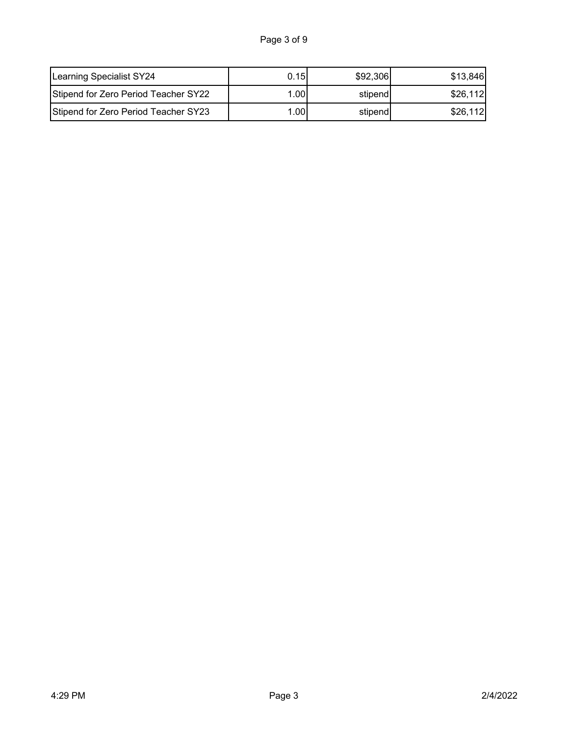| Learning Specialist SY24             | 0.15  | \$92,306 | \$13,846 |
|--------------------------------------|-------|----------|----------|
| Stipend for Zero Period Teacher SY22 | 1.00I | stipendl | \$26,112 |
| Stipend for Zero Period Teacher SY23 | 1.001 | stipend  | \$26,112 |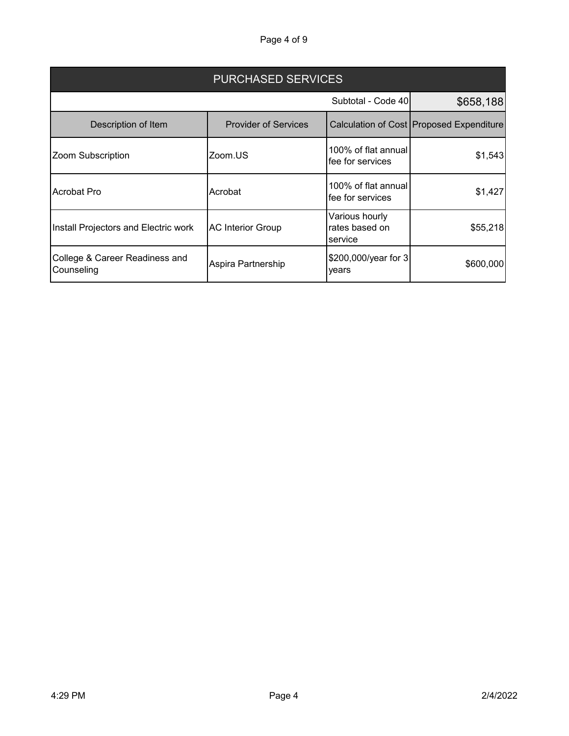Page 4 of 9

| <b>PURCHASED SERVICES</b>                    |                             |                                             |                                          |
|----------------------------------------------|-----------------------------|---------------------------------------------|------------------------------------------|
|                                              |                             | Subtotal - Code 40                          | \$658,188                                |
| Description of Item                          | <b>Provider of Services</b> |                                             | Calculation of Cost Proposed Expenditure |
| Zoom Subscription                            | Zoom.US                     | 100% of flat annual<br>fee for services     | \$1,543                                  |
| Acrobat Pro                                  | Acrobat                     | 100% of flat annual<br>fee for services     | \$1,427                                  |
| Install Projectors and Electric work         | <b>AC Interior Group</b>    | Various hourly<br>rates based on<br>service | \$55,218                                 |
| College & Career Readiness and<br>Counseling | Aspira Partnership          | \$200,000/year for 3<br>years               | \$600,000                                |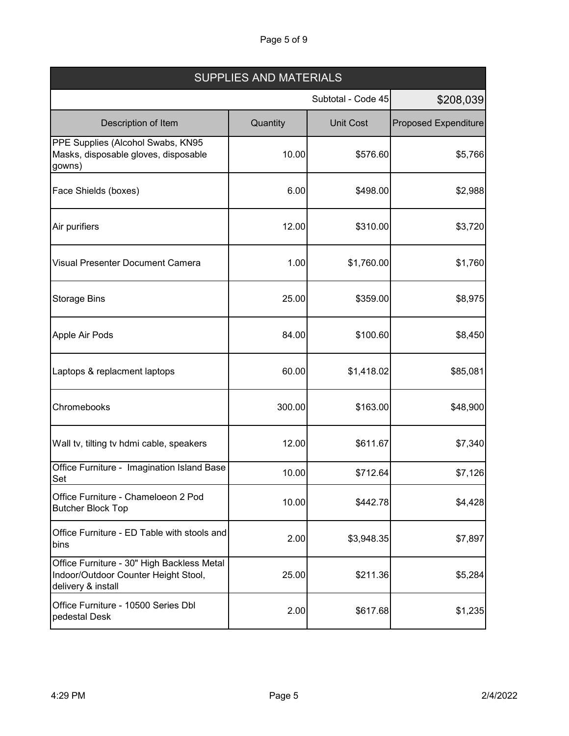## Page 5 of 9

| <b>SUPPLIES AND MATERIALS</b>                                                                            |          |                    |                             |
|----------------------------------------------------------------------------------------------------------|----------|--------------------|-----------------------------|
|                                                                                                          |          | Subtotal - Code 45 | \$208,039                   |
| Description of Item                                                                                      | Quantity | <b>Unit Cost</b>   | <b>Proposed Expenditure</b> |
| PPE Supplies (Alcohol Swabs, KN95<br>Masks, disposable gloves, disposable<br>gowns)                      | 10.00    | \$576.60           | \$5,766                     |
| Face Shields (boxes)                                                                                     | 6.00     | \$498.00           | \$2,988                     |
| Air purifiers                                                                                            | 12.00    | \$310.00           | \$3,720                     |
| Visual Presenter Document Camera                                                                         | 1.00     | \$1,760.00         | \$1,760                     |
| <b>Storage Bins</b>                                                                                      | 25.00    | \$359.00           | \$8,975                     |
| Apple Air Pods                                                                                           | 84.00    | \$100.60           | \$8,450                     |
| Laptops & replacment laptops                                                                             | 60.00    | \$1,418.02         | \$85,081                    |
| Chromebooks                                                                                              | 300.00   | \$163.00           | \$48,900                    |
| Wall tv, tilting tv hdmi cable, speakers                                                                 | 12.00    | \$611.67           | \$7,340                     |
| Office Furniture - Imagination Island Base<br>Set                                                        | 10.00    | \$712.64           | \$7,126                     |
| Office Furniture - Chameloeon 2 Pod<br><b>Butcher Block Top</b>                                          | 10.00    | \$442.78           | \$4,428                     |
| Office Furniture - ED Table with stools and<br>bins                                                      | 2.00     | \$3,948.35         | \$7,897                     |
| Office Furniture - 30" High Backless Metal<br>Indoor/Outdoor Counter Height Stool,<br>delivery & install | 25.00    | \$211.36           | \$5,284                     |
| Office Furniture - 10500 Series Dbl<br>pedestal Desk                                                     | 2.00     | \$617.68           | \$1,235                     |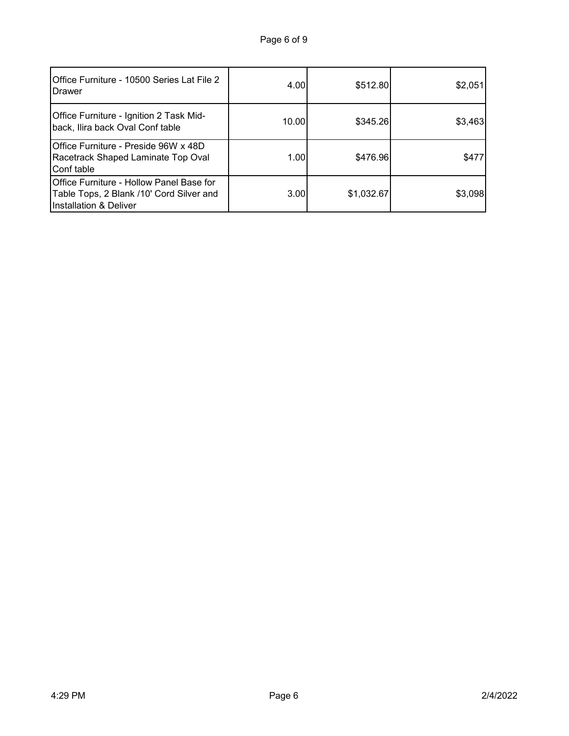| Office Furniture - 10500 Series Lat File 2<br><b>IDrawer</b>                                                   | 4.00  | \$512.80   | \$2,051 |
|----------------------------------------------------------------------------------------------------------------|-------|------------|---------|
| Office Furniture - Ignition 2 Task Mid-<br>back, Ilira back Oval Conf table                                    | 10.00 | \$345.26   | \$3,463 |
| IOffice Furniture - Preside 96W x 48D<br>Racetrack Shaped Laminate Top Oval<br>Conf table                      | 1.00  | \$476.96   | \$477   |
| Office Furniture - Hollow Panel Base for<br>Table Tops, 2 Blank /10' Cord Silver and<br>Installation & Deliver | 3.00  | \$1,032.67 | \$3,098 |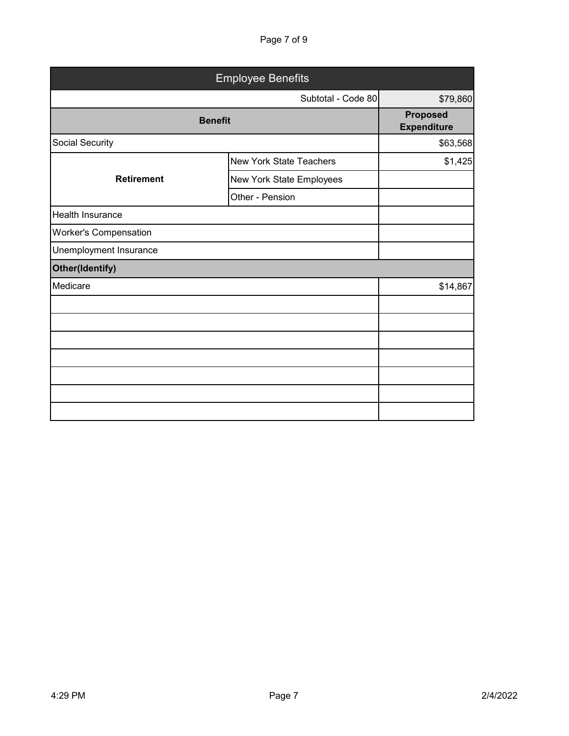Page 7 of 9

|                              | <b>Employee Benefits</b>       |                                       |
|------------------------------|--------------------------------|---------------------------------------|
|                              | Subtotal - Code 80             | \$79,860                              |
| <b>Benefit</b>               |                                | <b>Proposed</b><br><b>Expenditure</b> |
| Social Security              |                                | \$63,568                              |
| <b>Retirement</b>            | <b>New York State Teachers</b> | \$1,425                               |
|                              | New York State Employees       |                                       |
|                              | Other - Pension                |                                       |
| Health Insurance             |                                |                                       |
| <b>Worker's Compensation</b> |                                |                                       |
| Unemployment Insurance       |                                |                                       |
| <b>Other(Identify)</b>       |                                |                                       |
| Medicare                     |                                | \$14,867                              |
|                              |                                |                                       |
|                              |                                |                                       |
|                              |                                |                                       |
|                              |                                |                                       |
|                              |                                |                                       |
|                              |                                |                                       |
|                              |                                |                                       |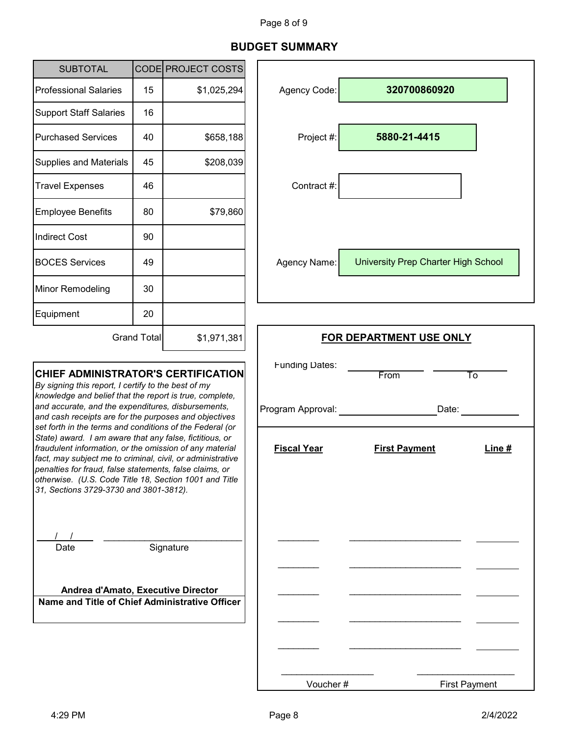# Page 8 of 9

## **BUDGET SUMMARY**

|                                                                                                                                                                                                                                                                                                                                                                   | CODE PROJECT COSTS                                                                   |                                                                                                                                                       |                                            |                                            |
|-------------------------------------------------------------------------------------------------------------------------------------------------------------------------------------------------------------------------------------------------------------------------------------------------------------------------------------------------------------------|--------------------------------------------------------------------------------------|-------------------------------------------------------------------------------------------------------------------------------------------------------|--------------------------------------------|--------------------------------------------|
| 15                                                                                                                                                                                                                                                                                                                                                                | \$1,025,294                                                                          | Agency Code:                                                                                                                                          | 320700860920                               |                                            |
| 16                                                                                                                                                                                                                                                                                                                                                                |                                                                                      |                                                                                                                                                       |                                            |                                            |
| 40                                                                                                                                                                                                                                                                                                                                                                | \$658,188                                                                            | Project #:                                                                                                                                            | 5880-21-4415                               |                                            |
| 45                                                                                                                                                                                                                                                                                                                                                                | \$208,039                                                                            |                                                                                                                                                       |                                            |                                            |
| 46                                                                                                                                                                                                                                                                                                                                                                |                                                                                      | Contract #:                                                                                                                                           |                                            |                                            |
| 80                                                                                                                                                                                                                                                                                                                                                                | \$79,860                                                                             |                                                                                                                                                       |                                            |                                            |
| 90                                                                                                                                                                                                                                                                                                                                                                |                                                                                      |                                                                                                                                                       |                                            |                                            |
| 49                                                                                                                                                                                                                                                                                                                                                                |                                                                                      | Agency Name:                                                                                                                                          | <b>University Prep Charter High School</b> |                                            |
| 30                                                                                                                                                                                                                                                                                                                                                                |                                                                                      |                                                                                                                                                       |                                            |                                            |
| 20                                                                                                                                                                                                                                                                                                                                                                |                                                                                      |                                                                                                                                                       |                                            |                                            |
| <b>Grand Total</b><br>\$1,971,381                                                                                                                                                                                                                                                                                                                                 |                                                                                      |                                                                                                                                                       |                                            |                                            |
| <b>CHIEF ADMINISTRATOR'S CERTIFICATION</b><br>By signing this report, I certify to the best of my<br>knowledge and belief that the report is true, complete,                                                                                                                                                                                                      |                                                                                      | Funding Dates:                                                                                                                                        | From<br>То                                 |                                            |
|                                                                                                                                                                                                                                                                                                                                                                   |                                                                                      | Program Approval:                                                                                                                                     | Date:                                      |                                            |
| set forth in the terms and conditions of the Federal (or<br>State) award. I am aware that any false, fictitious, or<br>fraudulent information, or the omission of any material<br>fact, may subject me to criminal, civil, or administrative<br>penalties for fraud, false statements, false claims, or<br>otherwise. (U.S. Code Title 18, Section 1001 and Title |                                                                                      | <b>Fiscal Year</b>                                                                                                                                    | <b>First Payment</b>                       |                                            |
|                                                                                                                                                                                                                                                                                                                                                                   |                                                                                      |                                                                                                                                                       |                                            |                                            |
|                                                                                                                                                                                                                                                                                                                                                                   | Signature                                                                            |                                                                                                                                                       |                                            |                                            |
|                                                                                                                                                                                                                                                                                                                                                                   |                                                                                      |                                                                                                                                                       |                                            |                                            |
|                                                                                                                                                                                                                                                                                                                                                                   | Andrea d'Amato, Executive Director<br>Name and Title of Chief Administrative Officer |                                                                                                                                                       |                                            |                                            |
|                                                                                                                                                                                                                                                                                                                                                                   |                                                                                      |                                                                                                                                                       |                                            |                                            |
|                                                                                                                                                                                                                                                                                                                                                                   |                                                                                      | and accurate, and the expenditures, disbursements,<br>and cash receipts are for the purposes and objectives<br>31, Sections 3729-3730 and 3801-3812). |                                            | <b>FOR DEPARTMENT USE ONLY</b><br>Line $#$ |

Voucher #

\_\_\_\_\_\_\_\_\_\_\_\_\_\_\_\_\_\_

٠

÷.

J.

\_\_\_\_\_\_\_\_\_\_\_\_\_\_\_\_\_\_\_ First Payment